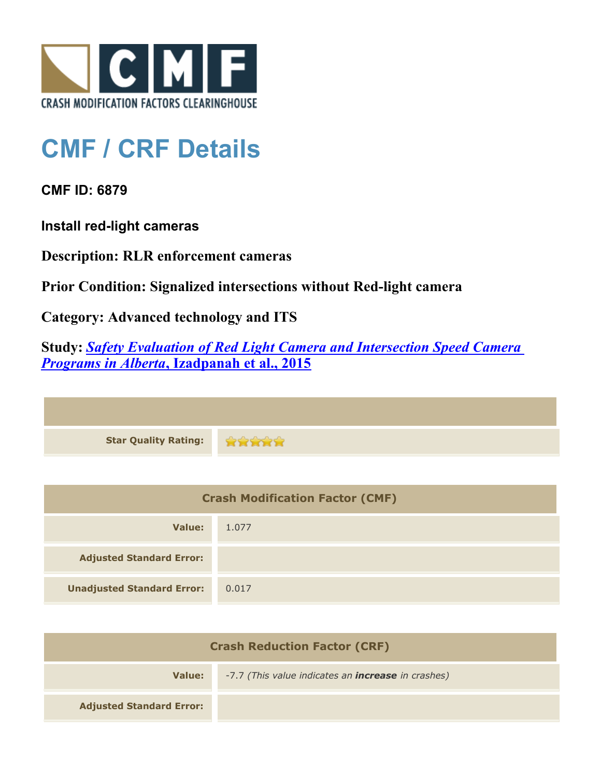

## **CMF / CRF Details**

**CMF ID: 6879**

**Install red-light cameras**

**Description: RLR enforcement cameras**

**Prior Condition: Signalized intersections without Red-light camera**

**Category: Advanced technology and ITS**

**Study:** *[Safety Evaluation of Red Light Camera and Intersection Speed Camera](http://www.cmfclearinghouse.org/study_detail.cfm?stid=412) [Programs in Alberta](http://www.cmfclearinghouse.org/study_detail.cfm?stid=412)***[, Izadpanah et al., 2015](http://www.cmfclearinghouse.org/study_detail.cfm?stid=412)**

| <b>Star Quality Rating:</b> |  |
|-----------------------------|--|

| <b>Crash Modification Factor (CMF)</b> |       |
|----------------------------------------|-------|
| Value:                                 | 1.077 |
| <b>Adjusted Standard Error:</b>        |       |
| <b>Unadjusted Standard Error:</b>      | 0.017 |

| <b>Crash Reduction Factor (CRF)</b> |                                                           |
|-------------------------------------|-----------------------------------------------------------|
| Value:                              | -7.7 (This value indicates an <b>increase</b> in crashes) |
| <b>Adjusted Standard Error:</b>     |                                                           |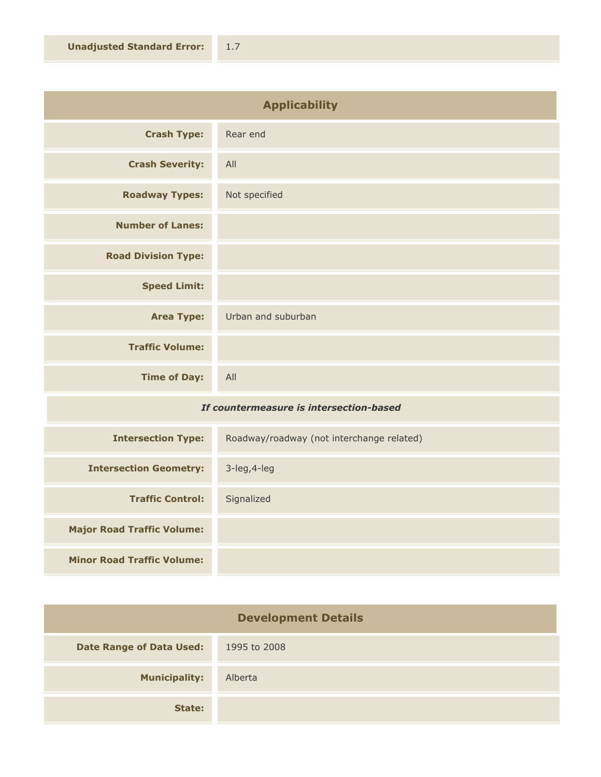| <b>Applicability</b>       |                    |
|----------------------------|--------------------|
| <b>Crash Type:</b>         | Rear end           |
| <b>Crash Severity:</b>     | All                |
| <b>Roadway Types:</b>      | Not specified      |
| <b>Number of Lanes:</b>    |                    |
| <b>Road Division Type:</b> |                    |
| <b>Speed Limit:</b>        |                    |
| <b>Area Type:</b>          | Urban and suburban |
| <b>Traffic Volume:</b>     |                    |
| <b>Time of Day:</b>        | All                |
|                            |                    |

## *If countermeasure is intersection-based*

| <b>Intersection Type:</b>         | Roadway/roadway (not interchange related) |
|-----------------------------------|-------------------------------------------|
| <b>Intersection Geometry:</b>     | $3$ -leg, $4$ -leg                        |
| <b>Traffic Control:</b>           | Signalized                                |
| <b>Major Road Traffic Volume:</b> |                                           |
| <b>Minor Road Traffic Volume:</b> |                                           |

| <b>Development Details</b>      |              |
|---------------------------------|--------------|
| <b>Date Range of Data Used:</b> | 1995 to 2008 |
| <b>Municipality:</b>            | Alberta      |
| State:                          |              |